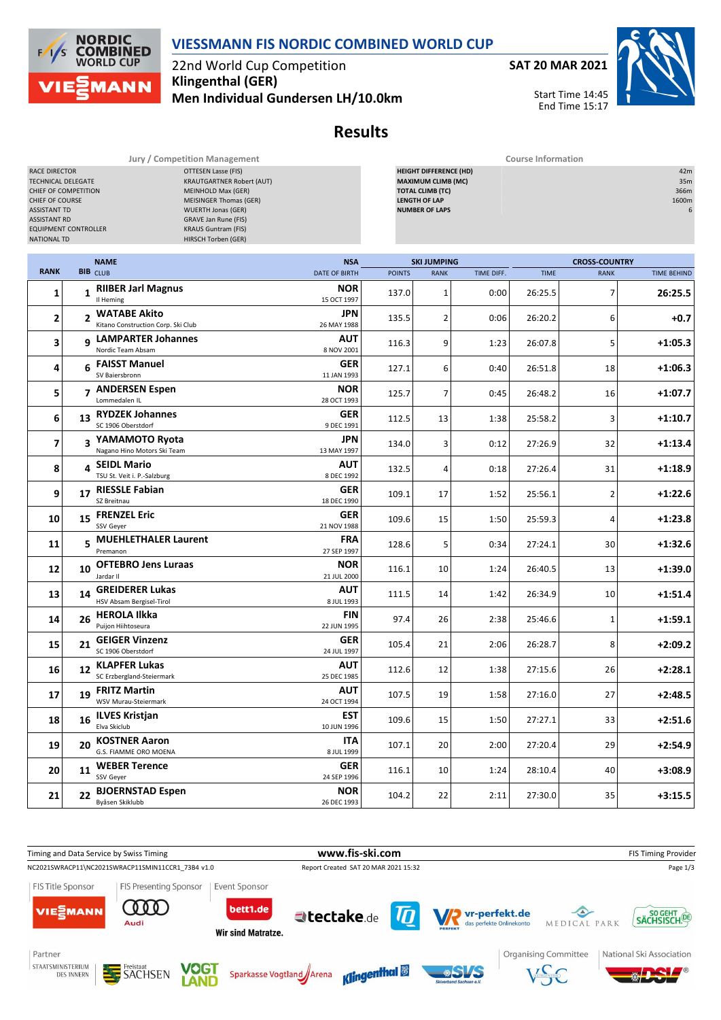

22nd World Cup Competition **Klingenthal (GER)**

**SAT 20 MAR 2021**

Start Time 14:45 End Time 15:17



| Jury / Competition Management                                                                                                                                                                                                                                                                                                                                                                                                      |    |                                                      |  | <b>Course Information</b> |               |                                                                                                                                        |            |             |                      |                                  |
|------------------------------------------------------------------------------------------------------------------------------------------------------------------------------------------------------------------------------------------------------------------------------------------------------------------------------------------------------------------------------------------------------------------------------------|----|------------------------------------------------------|--|---------------------------|---------------|----------------------------------------------------------------------------------------------------------------------------------------|------------|-------------|----------------------|----------------------------------|
| RACE DIRECTOR<br><b>OTTESEN Lasse (FIS)</b><br><b>KRAUTGARTNER Robert (AUT)</b><br><b>TECHNICAL DELEGATE</b><br>CHIEF OF COMPETITION<br><b>MEINHOLD Max (GER)</b><br>CHIEF OF COURSE<br><b>MEISINGER Thomas (GER)</b><br><b>ASSISTANT TD</b><br><b>WUERTH Jonas (GER)</b><br><b>ASSISTANT RD</b><br>GRAVE Jan Rune (FIS)<br><b>EQUIPMENT CONTROLLER</b><br><b>KRAUS Guntram (FIS)</b><br>HIRSCH Torben (GER)<br><b>NATIONAL TD</b> |    |                                                      |  |                           |               | <b>HEIGHT DIFFERENCE (HD)</b><br><b>MAXIMUM CLIMB (MC)</b><br><b>TOTAL CLIMB (TC)</b><br><b>LENGTH OF LAP</b><br><b>NUMBER OF LAPS</b> |            |             |                      | 42m<br>35m<br>366m<br>1600m<br>6 |
|                                                                                                                                                                                                                                                                                                                                                                                                                                    |    | <b>NAME</b>                                          |  | <b>NSA</b>                |               | <b>SKI JUMPING</b>                                                                                                                     |            |             | <b>CROSS-COUNTRY</b> |                                  |
| <b>RANK</b>                                                                                                                                                                                                                                                                                                                                                                                                                        |    | <b>BIB</b> CLUB                                      |  | <b>DATE OF BIRTH</b>      | <b>POINTS</b> | <b>RANK</b>                                                                                                                            | TIME DIFF. | <b>TIME</b> | <b>RANK</b>          | <b>TIME BEHIND</b>               |
| 1                                                                                                                                                                                                                                                                                                                                                                                                                                  |    | 1 RIIBER Jarl Magnus<br>Il Heming                    |  | <b>NOR</b><br>15 OCT 1997 | 137.0         | $\mathbf 1$                                                                                                                            | 0:00       | 26:25.5     | 7                    | 26:25.5                          |
| 2                                                                                                                                                                                                                                                                                                                                                                                                                                  |    | 2 WATABE Akito<br>Kitano Construction Corp. Ski Club |  | JPN<br>26 MAY 1988        | 135.5         | $\overline{2}$                                                                                                                         | 0:06       | 26:20.2     | 6                    | +0.7                             |
| 3                                                                                                                                                                                                                                                                                                                                                                                                                                  |    | 9 LAMPARTER Johannes<br>Nordic Team Absam            |  | AUT<br>8 NOV 2001         | 116.3         | 9                                                                                                                                      | 1:23       | 26:07.8     | 5                    | $+1:05.3$                        |
| 4                                                                                                                                                                                                                                                                                                                                                                                                                                  |    | 6 FAISST Manuel<br>SV Baiersbronn                    |  | GER<br>11 JAN 1993        | 127.1         | 6                                                                                                                                      | 0:40       | 26:51.8     | 18                   | $+1:06.3$                        |
| 5                                                                                                                                                                                                                                                                                                                                                                                                                                  |    | 7 ANDERSEN Espen<br>Lommedalen IL                    |  | <b>NOR</b><br>28 OCT 1993 | 125.7         | 7                                                                                                                                      | 0:45       | 26:48.2     | 16                   | +1:07.7                          |
| 6                                                                                                                                                                                                                                                                                                                                                                                                                                  | 13 | <b>RYDZEK Johannes</b><br>SC 1906 Oberstdorf         |  | <b>GER</b><br>9 DEC 1991  | 112.5         | 13                                                                                                                                     | 1:38       | 25:58.2     | 3                    | $+1:10.7$                        |
| 7                                                                                                                                                                                                                                                                                                                                                                                                                                  |    | 3 YAMAMOTO Ryota<br>Nagano Hino Motors Ski Team      |  | JPN<br>13 MAY 1997        | 134.0         | 3                                                                                                                                      | 0:12       | 27:26.9     | 32                   | $+1:13.4$                        |
| 8                                                                                                                                                                                                                                                                                                                                                                                                                                  | 4  | <b>SEIDL Mario</b><br>TSU St. Veit i. P.-Salzburg    |  | AUT<br>8 DEC 1992         | 132.5         | 4                                                                                                                                      | 0:18       | 27:26.4     | 31                   | +1:18.9                          |
| 9                                                                                                                                                                                                                                                                                                                                                                                                                                  | 17 | <b>RIESSLE Fabian</b><br>SZ Breitnau                 |  | <b>GER</b><br>18 DEC 1990 | 109.1         | 17                                                                                                                                     | 1:52       | 25:56.1     | $\overline{2}$       | $+1:22.6$                        |
| 10                                                                                                                                                                                                                                                                                                                                                                                                                                 |    | 15 FRENZEL Eric<br>SSV Geyer                         |  | <b>GER</b><br>21 NOV 1988 | 109.6         | 15                                                                                                                                     | 1:50       | 25:59.3     | 4                    | $+1:23.8$                        |
| 11                                                                                                                                                                                                                                                                                                                                                                                                                                 |    | 5 MUEHLETHALER Laurent<br>Premanon                   |  | <b>FRA</b><br>27 SEP 1997 | 128.6         | 5                                                                                                                                      | 0:34       | 27:24.1     | 30                   | $+1:32.6$                        |
| 12                                                                                                                                                                                                                                                                                                                                                                                                                                 | 10 | <b>OFTEBRO Jens Luraas</b><br>Jardar II              |  | <b>NOR</b><br>21 JUL 2000 | 116.1         | 10                                                                                                                                     | 1:24       | 26:40.5     | 13                   | $+1:39.0$                        |
| 13                                                                                                                                                                                                                                                                                                                                                                                                                                 | 14 | <b>GREIDERER Lukas</b><br>HSV Absam Bergisel-Tirol   |  | AUT<br>8 JUL 1993         | 111.5         | 14                                                                                                                                     | 1:42       | 26:34.9     | 10                   | $+1:51.4$                        |
| 14                                                                                                                                                                                                                                                                                                                                                                                                                                 |    | 26 HEROLA Ilkka<br>Puijon Hiihtoseura                |  | FIN<br>22 JUN 1995        | 97.4          | 26                                                                                                                                     | 2:38       | 25:46.6     | 1                    | $+1:59.1$                        |
| 15                                                                                                                                                                                                                                                                                                                                                                                                                                 | 21 | <b>GEIGER Vinzenz</b><br>SC 1906 Oberstdorf          |  | GER<br>24 JUL 1997        | 105.4         | 21                                                                                                                                     | 2:06       | 26:28.7     | 8                    | $+2:09.2$                        |
| 16                                                                                                                                                                                                                                                                                                                                                                                                                                 | 12 | <b>KLAPFER Lukas</b><br>SC Erzbergland-Steiermark    |  | AUT<br>25 DEC 1985        | 112.6         | 12                                                                                                                                     | 1:38       | 27:15.6     | 26                   | $+2:28.1$                        |
| 17                                                                                                                                                                                                                                                                                                                                                                                                                                 |    | 19 FRITZ Martin<br>WSV Murau-Steiermark              |  | <b>AUT</b><br>24 OCT 1994 | 107.5         | 19                                                                                                                                     | 1:58       | 27:16.0     | 27                   | $+2:48.5$                        |
| 18                                                                                                                                                                                                                                                                                                                                                                                                                                 |    | 16 ILVES Kristjan<br>Elva Skiclub                    |  | <b>EST</b><br>10 JUN 1996 | 109.6         | 15                                                                                                                                     | 1:50       | 27:27.1     | 33                   | $+2:51.6$                        |
| 19                                                                                                                                                                                                                                                                                                                                                                                                                                 | 20 | <b>KOSTNER Aaron</b><br>G.S. FIAMME ORO MOENA        |  | <b>ITA</b><br>8 JUL 1999  | 107.1         | 20                                                                                                                                     | 2:00       | 27:20.4     | 29                   | $+2:54.9$                        |
| 20                                                                                                                                                                                                                                                                                                                                                                                                                                 | 11 | <b>WEBER Terence</b><br>SSV Geyer                    |  | <b>GER</b><br>24 SEP 1996 | 116.1         | 10                                                                                                                                     | 1:24       | 28:10.4     | 40                   | $+3:08.9$                        |
| 21                                                                                                                                                                                                                                                                                                                                                                                                                                 | 22 | <b>BJOERNSTAD Espen</b><br>Byåsen Skiklubb           |  | <b>NOR</b><br>26 DEC 1993 | 104.2         | 22                                                                                                                                     | 2:11       | 27:30.0     | 35                   | $+3:15.5$                        |





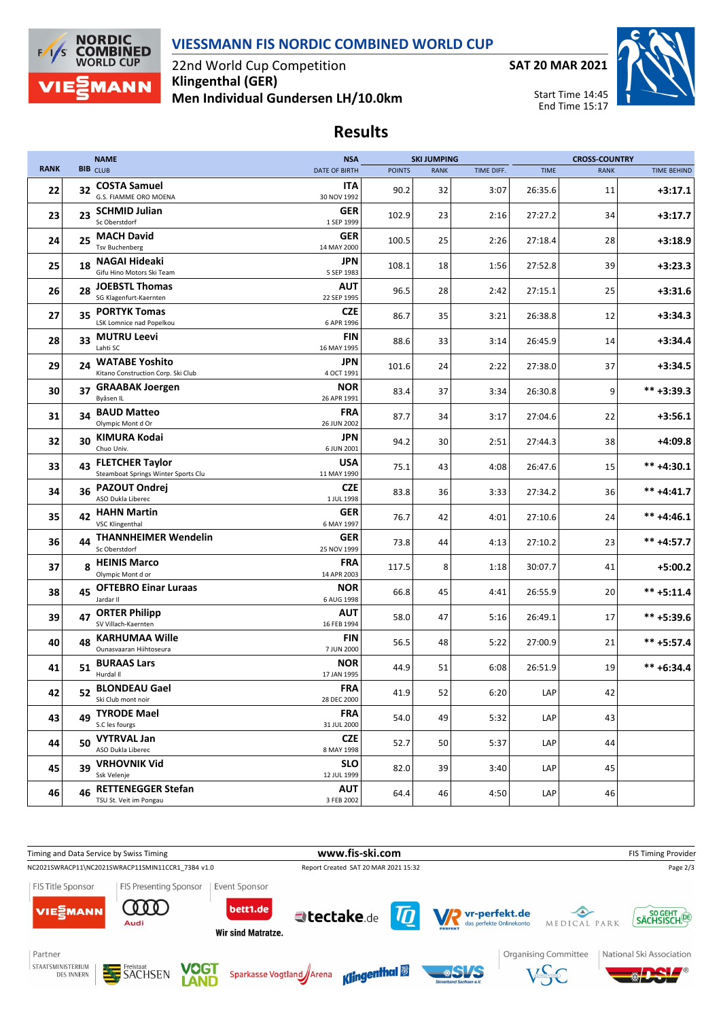### **VIESSMANN FIS NORDIC COMBINED WORLD CUP**



22nd World Cup Competition **Klingenthal (GER) Men Individual Gundersen LH/10.0km**





Start Time 14:45 End Time 15:17

# **Results**

|             |    | <b>NAME</b>                                                   | <b>NSA</b>                |               | <b>SKI JUMPING</b> |            |             | <b>CROSS-COUNTRY</b> |                    |
|-------------|----|---------------------------------------------------------------|---------------------------|---------------|--------------------|------------|-------------|----------------------|--------------------|
| <b>RANK</b> |    | <b>BIB</b> CLUB                                               | <b>DATE OF BIRTH</b>      | <b>POINTS</b> | <b>RANK</b>        | TIME DIFF. | <b>TIME</b> | <b>RANK</b>          | <b>TIME BEHIND</b> |
| 22          | 32 | <b>COSTA Samuel</b><br>G.S. FIAMME ORO MOENA                  | ITA<br>30 NOV 1992        | 90.2          | 32                 | 3:07       | 26:35.6     | 11                   | $+3:17.1$          |
| 23          | 23 | <b>SCHMID Julian</b><br>Sc Oberstdorf                         | GER<br>1 SEP 1999         | 102.9         | 23                 | 2:16       | 27:27.2     | 34                   | $+3:17.7$          |
| 24          | 25 | <b>MACH David</b><br><b>Tsv Buchenberg</b>                    | GER<br>14 MAY 2000        | 100.5         | 25                 | 2:26       | 27:18.4     | 28                   | $+3:18.9$          |
| 25          | 18 | <b>NAGAI Hideaki</b><br>Gifu Hino Motors Ski Team             | JPN<br>5 SEP 1983         | 108.1         | 18                 | 1:56       | 27:52.8     | 39                   | $+3:23.3$          |
| 26          | 28 | <b>JOEBSTL Thomas</b><br>SG Klagenfurt-Kaernten               | <b>AUT</b><br>22 SEP 1995 | 96.5          | 28                 | 2:42       | 27:15.1     | 25                   | $+3:31.6$          |
| 27          | 35 | <b>PORTYK Tomas</b><br>LSK Lomnice nad Popelkou               | <b>CZE</b><br>6 APR 1996  | 86.7          | 35                 | 3:21       | 26:38.8     | 12                   | $+3:34.3$          |
| 28          |    | 33 MUTRU Leevi<br>Lahti SC                                    | FIN<br>16 MAY 1995        | 88.6          | 33                 | 3:14       | 26:45.9     | 14                   | $+3:34.4$          |
| 29          | 24 | <b>WATABE Yoshito</b><br>Kitano Construction Corp. Ski Club   | JPN<br>4 OCT 1991         | 101.6         | 24                 | 2:22       | 27:38.0     | 37                   | $+3:34.5$          |
| 30          | 37 | <b>GRAABAK Joergen</b><br>Byåsen IL                           | NOR<br>26 APR 1991        | 83.4          | 37                 | 3:34       | 26:30.8     | 9                    | $*** +3:39.3$      |
| 31          | 34 | <b>BAUD Matteo</b><br>Olympic Mont d Or                       | <b>FRA</b><br>26 JUN 2002 | 87.7          | 34                 | 3:17       | 27:04.6     | 22                   | $+3:56.1$          |
| 32          | 30 | KIMURA Kodai<br>Chuo Univ.                                    | JPN<br>6 JUN 2001         | 94.2          | 30                 | 2:51       | 27:44.3     | 38                   | $+4:09.8$          |
| 33          | 43 | <b>FLETCHER Taylor</b><br>Steamboat Springs Winter Sports Clu | <b>USA</b><br>11 MAY 1990 | 75.1          | 43                 | 4:08       | 26:47.6     | 15                   | $*** +4:30.1$      |
| 34          | 36 | <b>PAZOUT Ondrej</b><br>ASO Dukla Liberec                     | <b>CZE</b><br>1 JUL 1998  | 83.8          | 36                 | 3:33       | 27:34.2     | 36                   | $*** +4:41.7$      |
| 35          | 42 | <b>HAHN Martin</b><br><b>VSC Klingenthal</b>                  | GER<br>6 MAY 1997         | 76.7          | 42                 | 4:01       | 27:10.6     | 24                   | ** +4:46.1         |
| 36          | 44 | <b>THANNHEIMER Wendelin</b><br>Sc Oberstdorf                  | GER<br>25 NOV 1999        | 73.8          | 44                 | 4:13       | 27:10.2     | 23                   | $*** +4:57.7$      |
| 37          | 8  | <b>HEINIS Marco</b><br>Olympic Mont d or                      | <b>FRA</b><br>14 APR 2003 | 117.5         | 8                  | 1:18       | 30:07.7     | 41                   | $+5:00.2$          |
| 38          | 45 | <b>OFTEBRO Einar Luraas</b><br>Jardar II                      | <b>NOR</b><br>6 AUG 1998  | 66.8          | 45                 | 4:41       | 26:55.9     | 20                   | $*** +5:11.4$      |
| 39          | 47 | <b>ORTER Philipp</b><br>SV Villach-Kaernten                   | <b>AUT</b><br>16 FEB 1994 | 58.0          | 47                 | 5:16       | 26:49.1     | 17                   | ** +5:39.6         |
| 40          | 48 | <b>KARHUMAA Wille</b><br>Ounasvaaran Hiihtoseura              | FIN<br>7 JUN 2000         | 56.5          | 48                 | 5:22       | 27:00.9     | 21                   | ** +5:57.4         |
| 41          | 51 | <b>BURAAS Lars</b><br>Hurdal II                               | NOR<br>17 JAN 1995        | 44.9          | 51                 | 6:08       | 26:51.9     | 19                   | $*** + 6:34.4$     |
| 42          |    | 52 BLONDEAU Gael<br>Ski Club mont noir                        | <b>FRA</b><br>28 DEC 2000 | 41.9          | 52                 | 6:20       | LAP         | 42                   |                    |
| 43          | 49 | <b>TYRODE Mael</b><br>S.C les fourgs                          | <b>FRA</b><br>31 JUL 2000 | 54.0          | 49                 | 5:32       | LAP         | 43                   |                    |
| 44          | 50 | <b>VYTRVAL Jan</b><br>ASO Dukla Liberec                       | <b>CZE</b><br>8 MAY 1998  | 52.7          | 50                 | 5:37       | LAP         | 44                   |                    |
| 45          | 39 | <b>VRHOVNIK Vid</b><br>Ssk Velenje                            | <b>SLO</b><br>12 JUL 1999 | 82.0          | 39                 | 3:40       | LAP         | 45                   |                    |
| 46          | 46 | <b>RETTENEGGER Stefan</b><br>TSU St. Veit im Pongau           | AUT<br>3 FEB 2002         | 64.4          | 46                 | 4:50       | LAP         | 46                   |                    |